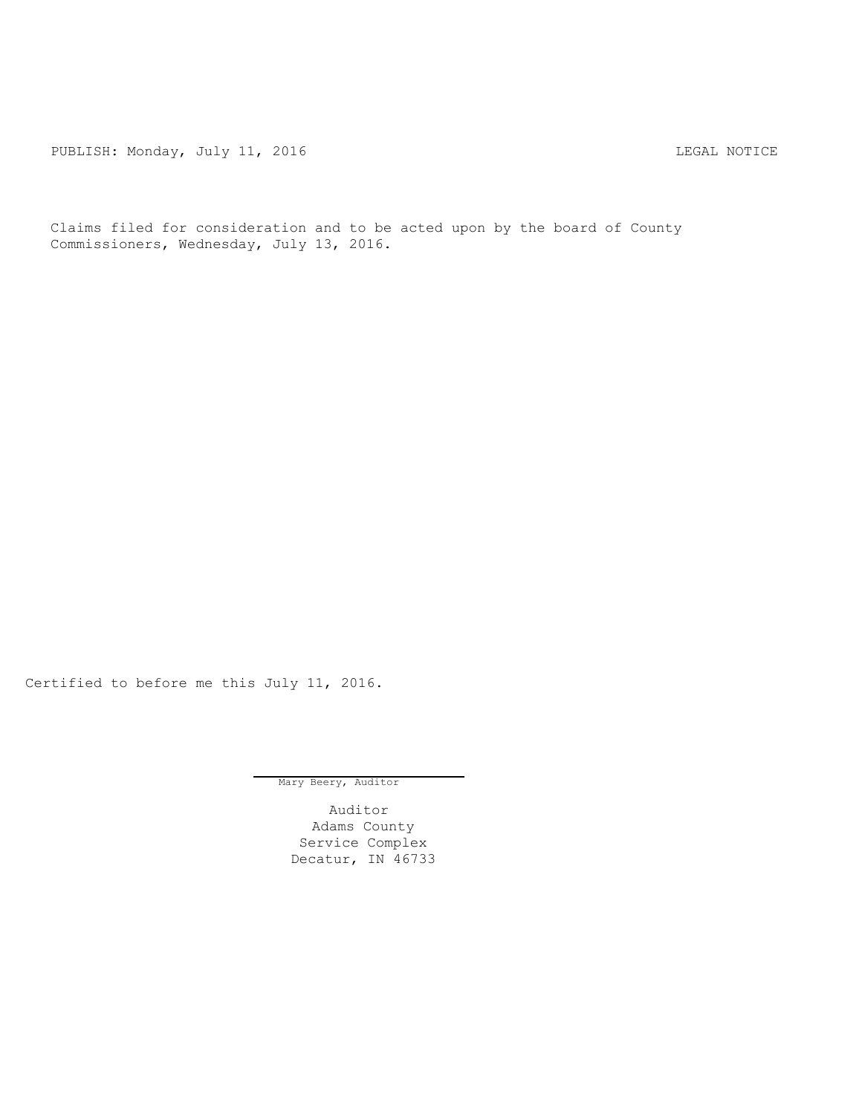PUBLISH: Monday, July 11, 2016 CHANGER STATES AND REGAL NOTICE

Claims filed for consideration and to be acted upon by the board of County Commissioners, Wednesday, July 13, 2016.

Certified to before me this July 11, 2016.

Mary Beery, Auditor

Auditor Adams County Service Complex Decatur, IN 46733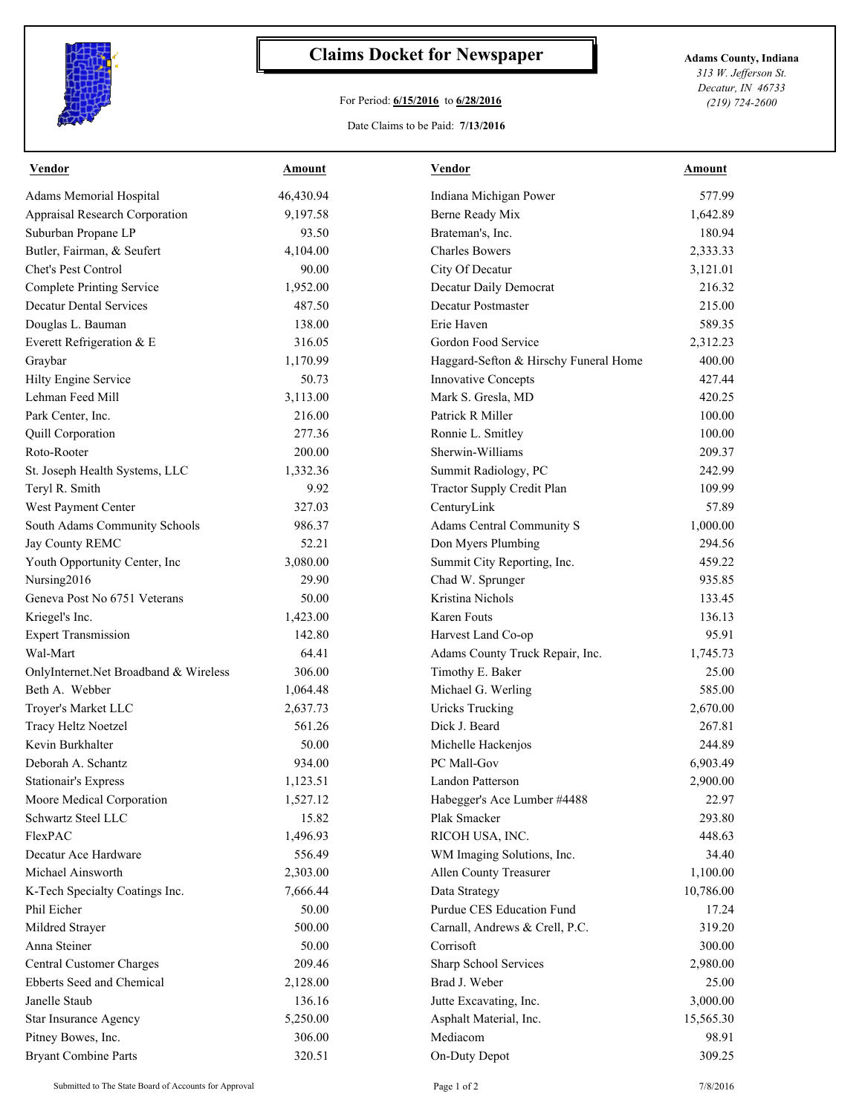

## **Claims Docket for Newspaper Adams County, Indiana**

## For Period: **6/15/2016** to **6/28/2016**

*313 W. Jefferson St. Decatur, IN 46733 (219) 724-2600*

## Date Claims to be Paid: **7/13/2016**

| Vendor                                | Amount    | Vendor                                | Amount    |
|---------------------------------------|-----------|---------------------------------------|-----------|
| Adams Memorial Hospital               | 46,430.94 | Indiana Michigan Power                | 577.99    |
| Appraisal Research Corporation        | 9,197.58  | Berne Ready Mix                       | 1,642.89  |
| Suburban Propane LP                   | 93.50     | Brateman's, Inc.                      | 180.94    |
| Butler, Fairman, & Seufert            | 4,104.00  | <b>Charles Bowers</b>                 | 2,333.33  |
| Chet's Pest Control                   | 90.00     | City Of Decatur                       | 3,121.01  |
| <b>Complete Printing Service</b>      | 1,952.00  | Decatur Daily Democrat                | 216.32    |
| <b>Decatur Dental Services</b>        | 487.50    | Decatur Postmaster                    | 215.00    |
| Douglas L. Bauman                     | 138.00    | Erie Haven                            | 589.35    |
| Everett Refrigeration & E             | 316.05    | Gordon Food Service                   | 2,312.23  |
| Graybar                               | 1,170.99  | Haggard-Sefton & Hirschy Funeral Home | 400.00    |
| Hilty Engine Service                  | 50.73     | Innovative Concepts                   | 427.44    |
| Lehman Feed Mill                      | 3,113.00  | Mark S. Gresla, MD                    | 420.25    |
| Park Center, Inc.                     | 216.00    | Patrick R Miller                      | 100.00    |
| Quill Corporation                     | 277.36    | Ronnie L. Smitley                     | 100.00    |
| Roto-Rooter                           | 200.00    | Sherwin-Williams                      | 209.37    |
| St. Joseph Health Systems, LLC        | 1,332.36  | Summit Radiology, PC                  | 242.99    |
| Teryl R. Smith                        | 9.92      | Tractor Supply Credit Plan            | 109.99    |
| West Payment Center                   | 327.03    | CenturyLink                           | 57.89     |
| South Adams Community Schools         | 986.37    | Adams Central Community S             | 1,000.00  |
| Jay County REMC                       | 52.21     | Don Myers Plumbing                    | 294.56    |
| Youth Opportunity Center, Inc         | 3,080.00  | Summit City Reporting, Inc.           | 459.22    |
| Nursing2016                           | 29.90     | Chad W. Sprunger                      | 935.85    |
| Geneva Post No 6751 Veterans          | 50.00     | Kristina Nichols                      | 133.45    |
| Kriegel's Inc.                        | 1,423.00  | <b>Karen Fouts</b>                    | 136.13    |
| <b>Expert Transmission</b>            | 142.80    | Harvest Land Co-op                    | 95.91     |
| Wal-Mart                              | 64.41     | Adams County Truck Repair, Inc.       | 1,745.73  |
| OnlyInternet.Net Broadband & Wireless | 306.00    | Timothy E. Baker                      | 25.00     |
| Beth A. Webber                        | 1,064.48  | Michael G. Werling                    | 585.00    |
| Troyer's Market LLC                   | 2,637.73  | <b>Uricks Trucking</b>                | 2,670.00  |
| Tracy Heltz Noetzel                   | 561.26    | Dick J. Beard                         | 267.81    |
| Kevin Burkhalter                      | 50.00     | Michelle Hackenjos                    | 244.89    |
| Deborah A. Schantz                    | 934.00    | PC Mall-Gov                           | 6,903.49  |
| <b>Stationair's Express</b>           | 1,123.51  | Landon Patterson                      | 2,900.00  |
| Moore Medical Corporation             | 1,527.12  | Habegger's Ace Lumber #4488           | 22.97     |
| Schwartz Steel LLC                    | 15.82     | Plak Smacker                          | 293.80    |
| FlexPAC                               | 1,496.93  | RICOH USA, INC.                       | 448.63    |
| Decatur Ace Hardware                  | 556.49    | WM Imaging Solutions, Inc.            | 34.40     |
| Michael Ainsworth                     | 2,303.00  | Allen County Treasurer                | 1,100.00  |
| K-Tech Specialty Coatings Inc.        | 7,666.44  | Data Strategy                         | 10,786.00 |
| Phil Eicher                           | 50.00     | Purdue CES Education Fund             | 17.24     |
| Mildred Strayer                       | 500.00    | Carnall, Andrews & Crell, P.C.        | 319.20    |
| Anna Steiner                          | 50.00     | Corrisoft                             | 300.00    |
| Central Customer Charges              | 209.46    | Sharp School Services                 | 2,980.00  |
| Ebberts Seed and Chemical             | 2,128.00  | Brad J. Weber                         | 25.00     |
| Janelle Staub                         | 136.16    | Jutte Excavating, Inc.                | 3,000.00  |
| <b>Star Insurance Agency</b>          | 5,250.00  | Asphalt Material, Inc.                | 15,565.30 |
| Pitney Bowes, Inc.                    | 306.00    | Mediacom                              | 98.91     |
| <b>Bryant Combine Parts</b>           | 320.51    | On-Duty Depot                         | 309.25    |
|                                       |           |                                       |           |